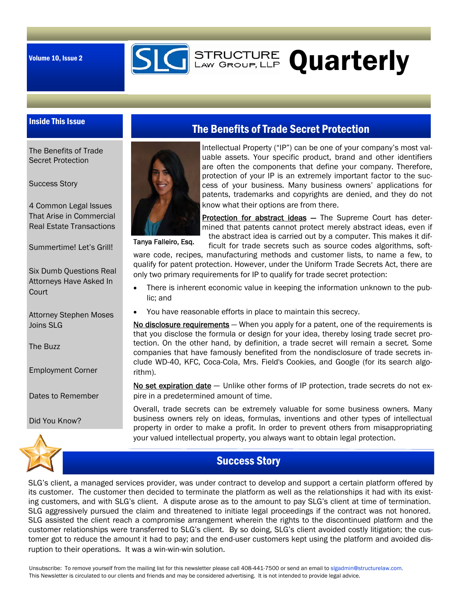

# **SIG** STRUCTURE Quarterly

### Inside This Issue

The Benefits of Trade Secret Protection

Success Story

4 Common Legal Issues That Arise in Commercial Real Estate Transactions

Summertime! Let's Grill!

Six Dumb Questions Real Attorneys Have Asked In **Court** 

Attorney Stephen Moses Joins SLG

The Buzz

Employment Corner

Dates to Remember

Did You Know?



### The Benefits of Trade Secret Protection

Intellectual Property ("IP") can be one of your company's most valuable assets. Your specific product, brand and other identifiers are often the components that define your company. Therefore, protection of your IP is an extremely important factor to the success of your business. Many business owners' applications for patents, trademarks and copyrights are denied, and they do not know what their options are from there.

Tanya Falleiro, Esq.

Protection for abstract ideas - The Supreme Court has determined that patents cannot protect merely abstract ideas, even if the abstract idea is carried out by a computer. This makes it dif-

ficult for trade secrets such as source codes algorithms, software code, recipes, manufacturing methods and customer lists, to name a few, to

qualify for patent protection. However, under the Uniform Trade Secrets Act, there are only two primary requirements for IP to qualify for trade secret protection:

- There is inherent economic value in keeping the information unknown to the public; and
- You have reasonable efforts in place to maintain this secrecy.

No disclosure requirements - When you apply for a patent, one of the requirements is that you disclose the formula or design for your idea, thereby losing trade secret protection. On the other hand, by definition, a trade secret will remain a secret*.* Some companies that have famously benefited from the nondisclosure of trade secrets include WD-40, KFC, Coca-Cola, Mrs. Field's Cookies, and Google (for its search algorithm).

No set expiration date – Unlike other forms of IP protection, trade secrets do not expire in a predetermined amount of time.

Overall, trade secrets can be extremely valuable for some business owners. Many business owners rely on ideas, formulas, inventions and other types of intellectual property in order to make a profit. In order to prevent others from misappropriating your valued intellectual property, you always want to obtain legal protection.



SLG's client, a managed services provider, was under contract to develop and support a certain platform offered by its customer. The customer then decided to terminate the platform as well as the relationships it had with its existing customers, and with SLG's client. A dispute arose as to the amount to pay SLG's client at time of termination. SLG aggressively pursued the claim and threatened to initiate legal proceedings if the contract was not honored. SLG assisted the client reach a compromise arrangement wherein the rights to the discontinued platform and the customer relationships were transferred to SLG's client. By so doing, SLG's client avoided costly litigation; the customer got to reduce the amount it had to pay; and the end-user customers kept using the platform and avoided disruption to their operations. It was a win-win-win solution.

Unsubscribe: To remove yourself from the mailing list for this newsletter please call 408-441-7500 or send an email to slgadmin@structurelaw.com. This Newsletter is circulated to our clients and friends and may be considered advertising. It is not intended to provide legal advice.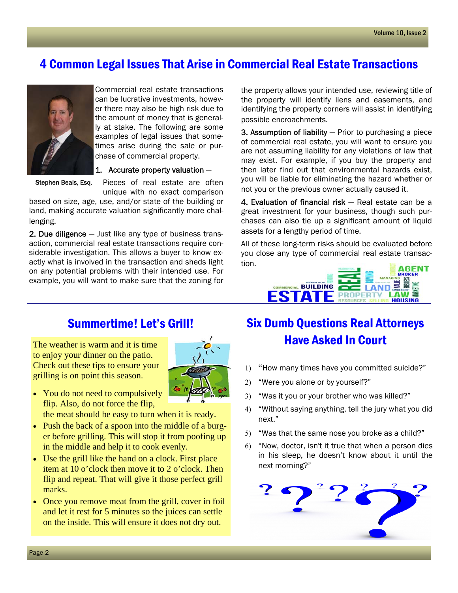### 4 Common Legal Issues That Arise in Commercial Real Estate Transactions



Commercial real estate transactions can be lucrative investments, however there may also be high risk due to the amount of money that is generally at stake. The following are some examples of legal issues that sometimes arise during the sale or purchase of commercial property.

Stephen Beals, Esq.

1. Accurate property valuation  $-$ Pieces of real estate are often

unique with no exact comparison

based on size, age, use, and/or state of the building or land, making accurate valuation significantly more challenging.

2. Due diligence — Just like any type of business transaction, commercial real estate transactions require considerable investigation. This allows a buyer to know exactly what is involved in the transaction and sheds light on any potential problems with their intended use. For example, you will want to make sure that the zoning for

the property allows your intended use, reviewing title of the property will identify liens and easements, and identifying the property corners will assist in identifying possible encroachments.

**3. Assumption of liability**  $-$  Prior to purchasing a piece of commercial real estate, you will want to ensure you are not assuming liability for any violations of law that may exist. For example, if you buy the property and then later find out that environmental hazards exist, you will be liable for eliminating the hazard whether or not you or the previous owner actually caused it.

4. Evaluation of financial risk - Real estate can be a great investment for your business, though such purchases can also tie up a significant amount of liquid assets for a lengthy period of time.

All of these long-term risks should be evaluated before you close any type of commercial real estate transaction.



# Summertime! Let's Grill!

The weather is warm and it is time to enjoy your dinner on the patio. Check out these tips to ensure your grilling is on point this season.



• You do not need to compulsively flip. Also, do not force the flip,

the meat should be easy to turn when it is ready.

- Push the back of a spoon into the middle of a burger before grilling. This will stop it from poofing up in the middle and help it to cook evenly.
- Use the grill like the hand on a clock. First place item at 10 o'clock then move it to 2 o'clock. Then flip and repeat. That will give it those perfect grill marks.
- Once you remove meat from the grill, cover in foil and let it rest for 5 minutes so the juices can settle on the inside. This will ensure it does not dry out.

## Six Dumb Questions Real Attorneys Have Asked In Court

- 1) "How many times have you committed suicide?"
- "Were you alone or by yourself?"
- "Was it you or your brother who was killed?"
- "Without saying anything, tell the jury what you did next."
- "Was that the same nose you broke as a child?"
- "Now, doctor, isn't it true that when a person dies in his sleep, he doesn't know about it until the next morning?"

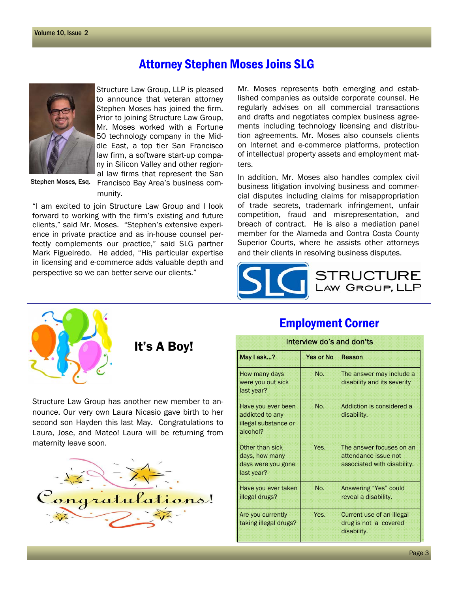### Attorney Stephen Moses Joins SLG



Stephen Moses, Esq.

Structure Law Group, LLP is pleased to announce that veteran attorney Stephen Moses has joined the firm. Prior to joining Structure Law Group, Mr. Moses worked with a Fortune 50 technology company in the Middle East, a top tier San Francisco law firm, a software start-up company in Silicon Valley and other regional law firms that represent the San

Francisco Bay Area's business community.

"I am excited to join Structure Law Group and I look forward to working with the firm's existing and future clients," said Mr. Moses. "Stephen's extensive experience in private practice and as in-house counsel perfectly complements our practice," said SLG partner Mark Figueiredo. He added, "His particular expertise in licensing and e-commerce adds valuable depth and perspective so we can better serve our clients."

Mr. Moses represents both emerging and established companies as outside corporate counsel. He regularly advises on all commercial transactions and drafts and negotiates complex business agreements including technology licensing and distribution agreements. Mr. Moses also counsels clients on Internet and e-commerce platforms, protection of intellectual property assets and employment matters.

In addition, Mr. Moses also handles complex civil business litigation involving business and commercial disputes including claims for misappropriation of trade secrets, trademark infringement, unfair competition, fraud and misrepresentation, and breach of contract. He is also a mediation panel member for the Alameda and Contra Costa County Superior Courts, where he assists other attorneys and their clients in resolving business disputes.



Employment Corner



Structure Law Group has another new member to announce. Our very own Laura Nicasio gave birth to her second son Hayden this last May. Congratulations to Laura, Jose, and Mateo! Laura will be returning from maternity leave soon.



### It's A Boy! May I ask...? How many days were you out sick last year? No. The answer may include a disability and its severity Have you ever been addicted to any illegal substance or alcohol? No. Addiction is considered a disability. Other than sick days, how many days were you gone last year? Yes. The answer focuses on an attendance issue not associated with disability. Have you ever taken illegal drugs? No. Answering "Yes" could reveal a disability. Are you currently taking illegal drugs? Yes. Current use of an illegal drug is not a covered disability.